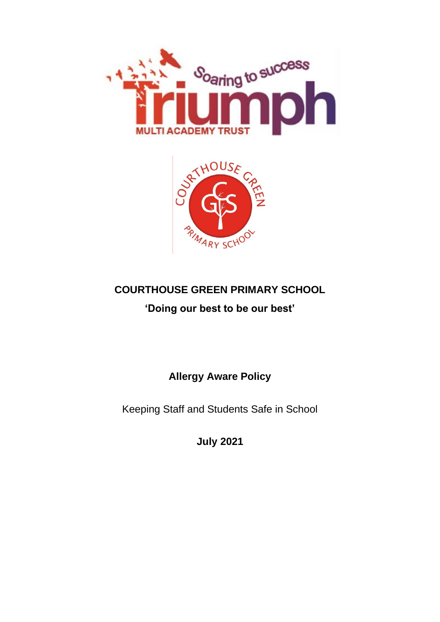



# **COURTHOUSE GREEN PRIMARY SCHOOL**

## **'Doing our best to be our best'**

**Allergy Aware Policy**

Keeping Staff and Students Safe in School

**July 2021**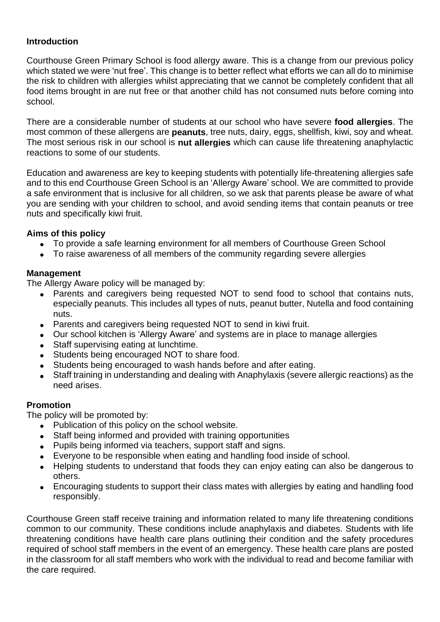#### **Introduction**

Courthouse Green Primary School is food allergy aware. This is a change from our previous policy which stated we were 'nut free'. This change is to better reflect what efforts we can all do to minimise the risk to children with allergies whilst appreciating that we cannot be completely confident that all food items brought in are nut free or that another child has not consumed nuts before coming into school.

There are a considerable number of students at our school who have severe **food allergies**. The most common of these allergens are **peanuts**, tree nuts, dairy, eggs, shellfish, kiwi, soy and wheat. The most serious risk in our school is **nut allergies** which can cause life threatening anaphylactic reactions to some of our students.

Education and awareness are key to keeping students with potentially life-threatening allergies safe and to this end Courthouse Green School is an 'Allergy Aware' school. We are committed to provide a safe environment that is inclusive for all children, so we ask that parents please be aware of what you are sending with your children to school, and avoid sending items that contain peanuts or tree nuts and specifically kiwi fruit.

#### **Aims of this policy**

- To provide a safe learning environment for all members of Courthouse Green School
- To raise awareness of all members of the community regarding severe allergies

### **Management**

The Allergy Aware policy will be managed by:

- Parents and caregivers being requested NOT to send food to school that contains nuts, especially peanuts. This includes all types of nuts, peanut butter, Nutella and food containing nuts.
- Parents and caregivers being requested NOT to send in kiwi fruit.
- Our school kitchen is 'Allergy Aware' and systems are in place to manage allergies
- Staff supervising eating at lunchtime.
- Students being encouraged NOT to share food.
- Students being encouraged to wash hands before and after eating.
- Staff training in understanding and dealing with Anaphylaxis (severe allergic reactions) as the need arises.

### **Promotion**

The policy will be promoted by:

- Publication of this policy on the school website.
- Staff being informed and provided with training opportunities
- Pupils being informed via teachers, support staff and signs.
- Everyone to be responsible when eating and handling food inside of school.
- Helping students to understand that foods they can enjoy eating can also be dangerous to others.
- Encouraging students to support their class mates with allergies by eating and handling food responsibly.

Courthouse Green staff receive training and information related to many life threatening conditions common to our community. These conditions include anaphylaxis and diabetes. Students with life threatening conditions have health care plans outlining their condition and the safety procedures required of school staff members in the event of an emergency. These health care plans are posted in the classroom for all staff members who work with the individual to read and become familiar with the care required.